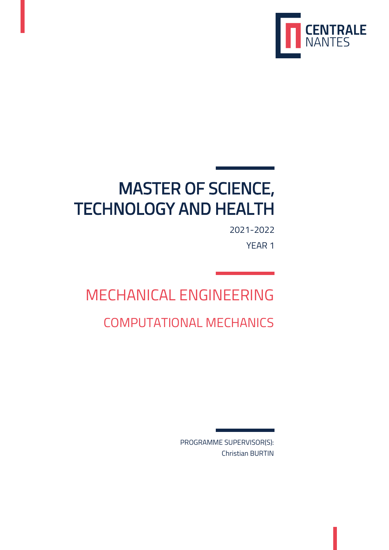

# MASTER OF SCIENCE, TECHNOLOGY AND HEALTH

YEAR 1 2021-2022

# MECHANICAL ENGINEERING

# COMPUTATIONAL MECHANICS

Christian BURTIN PROGRAMME SUPERVISOR(S):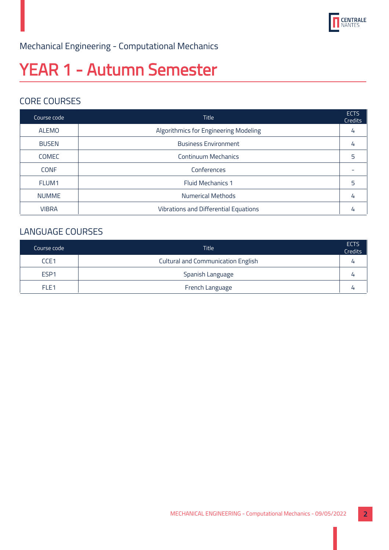

### Mechanical Engineering - Computational Mechanics

# YEAR 1 - Autumn Semester

### CORE COURSES

| Course code  | <b>Title</b>                          | <b>ECTS</b><br>Credits |
|--------------|---------------------------------------|------------------------|
| <b>ALEMO</b> | Algorithmics for Engineering Modeling | 4                      |
| <b>BUSEN</b> | <b>Business Environment</b>           |                        |
| <b>COMEC</b> | <b>Continuum Mechanics</b>            | 5                      |
| <b>CONF</b>  | Conferences                           |                        |
| FLUM1        | <b>Fluid Mechanics 1</b>              | 5                      |
| <b>NUMME</b> | <b>Numerical Methods</b>              |                        |
| <b>VIBRA</b> | Vibrations and Differential Equations |                        |

### LANGUAGE COURSES

| Course code      | <b>Title</b>                              | <b>ECTS</b><br><b>Credits</b> |
|------------------|-------------------------------------------|-------------------------------|
| CCE <sub>1</sub> | <b>Cultural and Communication English</b> | 4                             |
| ESP <sub>1</sub> | Spanish Language                          | 4                             |
| FLE <sub>1</sub> | French Language                           |                               |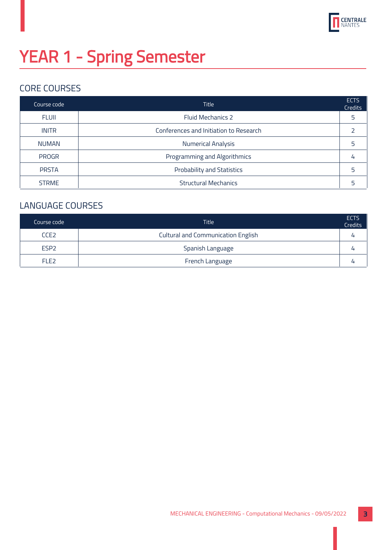

# YEAR 1 - Spring Semester

### CORE COURSES

| Course code  | <b>Title</b>                           | <b>ECTS</b><br>Credits |
|--------------|----------------------------------------|------------------------|
| <b>FLUII</b> | <b>Fluid Mechanics 2</b>               | 5                      |
| <b>INITR</b> | Conferences and Initiation to Research |                        |
| <b>NUMAN</b> | <b>Numerical Analysis</b>              | 5                      |
| <b>PROGR</b> | Programming and Algorithmics           | 4                      |
| <b>PRSTA</b> | <b>Probability and Statistics</b>      | 5                      |
| <b>STRME</b> | <b>Structural Mechanics</b>            | 5                      |

### LANGUAGE COURSES

| Course code      | <b>Title</b>                              | <b>ECTS</b><br><b>Credits</b> |
|------------------|-------------------------------------------|-------------------------------|
| CCE <sub>2</sub> | <b>Cultural and Communication English</b> |                               |
| ESP <sub>2</sub> | Spanish Language                          |                               |
| FLE <sub>2</sub> | French Language                           |                               |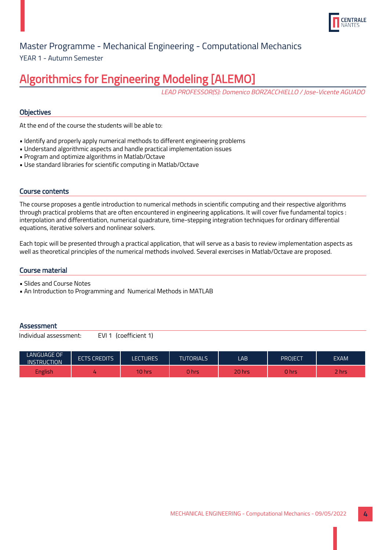

### YEAR 1 - Autumn Semester Master Programme - Mechanical Engineering - Computational Mechanics

# Algorithmics for Engineering Modeling [ALEMO]

LEAD PROFESSOR(S): Domenico BORZACCHIELLO / Jose-Vicente AGUADO

#### **Objectives**

At the end of the course the students will be able to:

- Identify and properly apply numerical methods to different engineering problems
- Understand algorithmic aspects and handle practical implementation issues
- Program and optimize algorithms in Matlab/Octave
- Use standard libraries for scientific computing in Matlab/Octave

#### Course contents

The course proposes a gentle introduction to numerical methods in scientific computing and their respective algorithms through practical problems that are often encountered in engineering applications. It will cover five fundamental topics : interpolation and differentiation, numerical quadrature, time-stepping integration techniques for ordinary differential equations, iterative solvers and nonlinear solvers.

Each topic will be presented through a practical application, that will serve as a basis to review implementation aspects as well as theoretical principles of the numerical methods involved. Several exercises in Matlab/Octave are proposed.

#### Course material

• Slides and Course Notes

• An Introduction to Programming and Numerical Methods in MATLAB

#### **Assessment**

| <b>LANGUAGE OF</b><br><b>INSTRUCTION</b> | <b>ECTS CREDITS</b> | <b>LECTURES</b> | <b>TUTORIALS</b> | LAB    | PROJECT | <b>EXAM</b> |
|------------------------------------------|---------------------|-----------------|------------------|--------|---------|-------------|
| English                                  |                     | <b>TO hrs</b>   | <b>hrs</b>       | 20 hrs | hrs     | <b>hrs</b>  |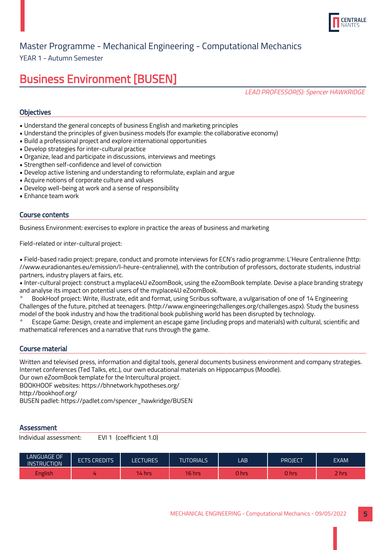

YEAR 1 - Autumn Semester

### Business Environment [BUSEN]

LEAD PROFESSOR(S): Spencer HAWKRIDGE

#### **Objectives**

- Understand the general concepts of business English and marketing principles
- Understand the principles of given business models (for example: the collaborative economy)
- Build a professional project and explore international opportunities
- Develop strategies for inter-cultural practice
- Organize, lead and participate in discussions, interviews and meetings
- Strengthen self-confidence and level of conviction
- Develop active listening and understanding to reformulate, explain and argue
- Acquire notions of corporate culture and values
- Develop well-being at work and a sense of responsibility
- Enhance team work

#### Course contents

Business Environment: exercises to explore in practice the areas of business and marketing

Field-related or inter-cultural project:

• Field-based radio project: prepare, conduct and promote interviews for ECN's radio programme: L'Heure Centralienne (http: //www.euradionantes.eu/emission/l-heure-centralienne), with the contribution of professors, doctorate students, industrial partners, industry players at fairs, etc.

• Inter-cultural project: construct a myplace4U eZoomBook, using the eZoomBook template. Devise a place branding strategy and analyse its impact on potential users of the myplace4U eZoomBook.

° BookHoof project: Write, illustrate, edit and format, using Scribus software, a vulgarisation of one of 14 Engineering Challenges of the future, pitched at teenagers. (http://www.engineeringchallenges.org/challenges.aspx). Study the business model of the book industry and how the traditional book publishing world has been disrupted by technology.

° Escape Game: Design, create and implement an escape game (including props and materials) with cultural, scientific and mathematical references and a narrative that runs through the game.

#### Course material

Written and televised press, information and digital tools, general documents business environment and company strategies. Internet conferences (Ted Talks, etc.), our own educational materials on Hippocampus (Moodle).

Our own eZoomBook template for the Intercultural project.

BOOKHOOF websites: https://bhnetwork.hypotheses.org/

http://bookhoof.org/

BUSEN padlet: https://padlet.com/spencer\_hawkridge/BUSEN

#### **Assessment**

| LANGUAGE OF<br><b>INSTRUCTION</b> | <b>ECTS CREDITS</b> | LECTURES' | <b>TUTORIALS</b> | LAB.  | <b>PROJECT</b> | EXAM |
|-----------------------------------|---------------------|-----------|------------------|-------|----------------|------|
| <b>English</b>                    |                     | 14 hrs    | 16 hrs           | 0 hrs | 0 hrs          | hrs. |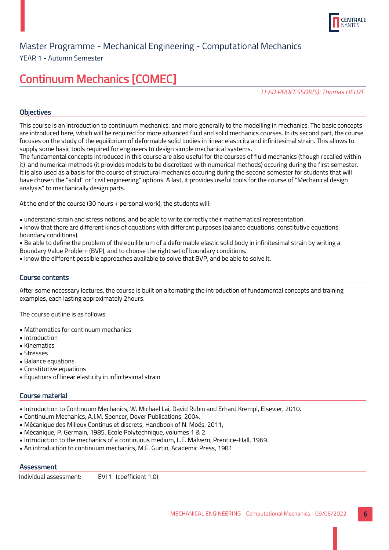

#### YEAR 1 - Autumn Semester

# Continuum Mechanics [COMEC]

LEAD PROFESSOR(S): Thomas HEUZE

#### **Objectives**

This course is an introduction to continuum mechanics, and more generally to the modelling in mechanics. The basic concepts are introduced here, which will be required for more advanced fluid and solid mechanics courses. In its second part, the course focuses on the study of the equilibrium of deformable solid bodies in linear elasticity and infinitesimal strain. This allows to supply some basic tools required for engineers to design simple mechanical systems.

The fundamental concepts introduced in this course are also useful for the courses of fluid mechanics (though recalled within it) and numerical methods (it provides models to be discretized with numerical methods) occuring during the first semester. It is also used as a basis for the course of structural mechanics occuring during the second semester for students that will have chosen the "solid" or "civil engineering" options. A last, it provides useful tools for the course of "Mechanical design analysis" to mechanically design parts.

At the end of the course (30 hours + personal work), the students will:

• understand strain and stress notions, and be able to write correctly their mathematical representation.

• know that there are different kinds of equations with different purposes (balance equations, constitutive equations, boundary conditions).

• Be able to define the problem of the equilibrium of a deformable elastic solid body in infinitesimal strain by writing a Boundary Value Problem (BVP), and to choose the right set of boundary conditions.

• know the different possible approaches available to solve that BVP, and be able to solve it.

#### Course contents

After some necessary lectures, the course is built on alternating the introduction of fundamental concepts and training examples, each lasting approximately 2hours.

The course outline is as follows:

- Mathematics for continuum mechanics
- Introduction
- Kinematics
- Stresses
- Balance equations
- Constitutive equations
- Equations of linear elasticity in infinitesimal strain

#### Course material

- Introduction to Continuum Mechanics, W. Michael Lai, David Rubin and Erhard Krempl, Elsevier, 2010.
- Continuum Mechanics, A.J.M. Spencer, Dover Publications, 2004.
- Mécanique des Milieux Continus et discrets, Handbook of N. Moës, 2011,
- Mécanique, P. Germain, 1985, Ecole Polytechnique, volumes 1 & 2.
- Introduction to the mechanics of a continuous medium, L.E. Malvern, Prentice-Hall, 1969.
- An introduction to continuum mechanics, M.E. Gurtin, Academic Press, 1981.

#### **Assessment**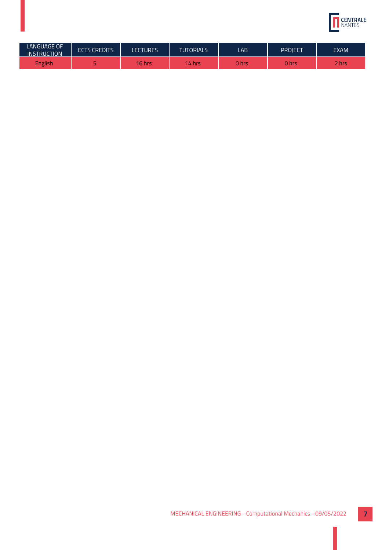

| <b>LANGUAGE OF</b><br><b>INSTRUCTION</b> | <b>ECTS CREDITS</b> | <b>LECTURES</b> | <b>TUTORIALS</b> | LAB   | PROJECT | <b>EXAM</b> |
|------------------------------------------|---------------------|-----------------|------------------|-------|---------|-------------|
| <b>English</b>                           |                     | 16 hrs          | 14.<br>hrs       | າ hrs | 0 hrs   | 2 hrs       |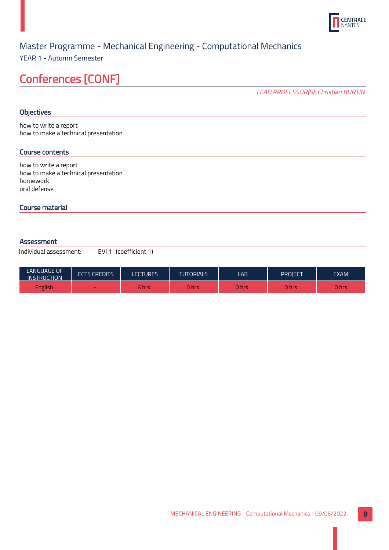

YEAR 1 - Autumn Semester

## Conferences [CONF]

LEAD PROFESSOR(S): Christian BURTIN

#### **Objectives**

how to write a report how to make a technical presentation

#### Course contents

how to write a report how to make a technical presentation homework oral defense

#### Course material

#### Assessment

| <b>LANGUAGE OF</b><br><b>INSTRUCTION</b> | <b>ECTS CREDITS</b> | <b>LECTURES</b> | <b>TUTORIALS</b> | LAB   | PROJECT | <b>EXAM</b> |
|------------------------------------------|---------------------|-----------------|------------------|-------|---------|-------------|
| English                                  | $\sim$              | 6 hrs           | 0 hrs            | ว hrs | hrs     | 0 hrs       |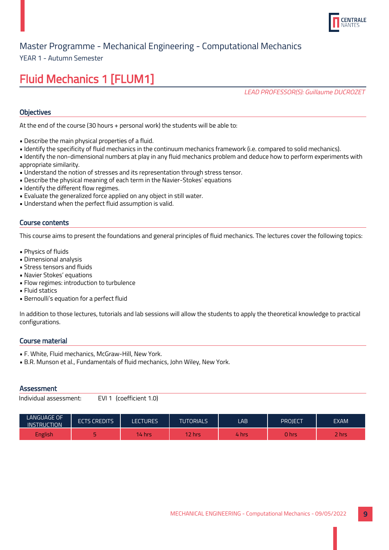

YEAR 1 - Autumn Semester

# Fluid Mechanics 1 [FLUM1]

LEAD PROFESSOR(S): Guillaume DUCROZET

#### **Objectives**

At the end of the course (30 hours + personal work) the students will be able to:

- Describe the main physical properties of a fluid.
- Identify the specificity of fluid mechanics in the continuum mechanics framework (i.e. compared to solid mechanics).
- Identify the non-dimensional numbers at play in any fluid mechanics problem and deduce how to perform experiments with appropriate similarity.
- Understand the notion of stresses and its representation through stress tensor.
- Describe the physical meaning of each term in the Navier-Stokes' equations
- Identify the different flow regimes.
- Evaluate the generalized force applied on any object in still water.
- Understand when the perfect fluid assumption is valid.

#### Course contents

This course aims to present the foundations and general principles of fluid mechanics. The lectures cover the following topics:

- Physics of fluids
- Dimensional analysis
- Stress tensors and fluids
- Navier Stokes' equations
- Flow regimes: introduction to turbulence
- Fluid statics
- Bernoulli's equation for a perfect fluid

In addition to those lectures, tutorials and lab sessions will allow the students to apply the theoretical knowledge to practical configurations.

#### Course material

- F. White, Fluid mechanics, McGraw-Hill, New York.
- B.R. Munson et al., Fundamentals of fluid mechanics, John Wiley, New York.

#### **Assessment**

| <b>LANGUAGE OF</b><br><b>INSTRUCTION</b> | <b>ECTS CREDITS</b> | LECTURES  | <b>TUTORIALS</b> | LAB   | PROJECT | <b>EXAM</b> |
|------------------------------------------|---------------------|-----------|------------------|-------|---------|-------------|
| <b>English</b>                           |                     | $44$ hrs. | 2 hrs            | . hrs | 0 hrs   | -<br>/hrs   |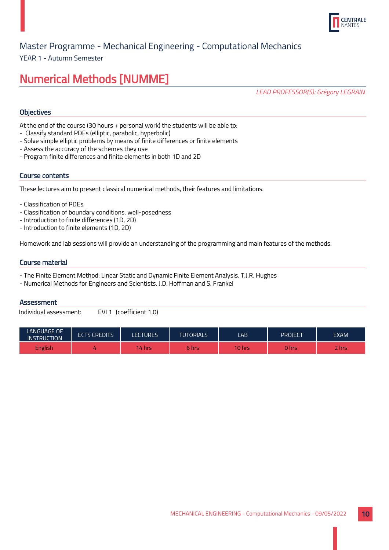

YEAR 1 - Autumn Semester

## Numerical Methods [NUMME]

LEAD PROFESSOR(S): Grégory LEGRAIN

#### **Objectives**

At the end of the course (30 hours + personal work) the students will be able to:

- Classify standard PDEs (elliptic, parabolic, hyperbolic)
- Solve simple elliptic problems by means of finite differences or finite elements
- Assess the accuracy of the schemes they use
- Program finite differences and finite elements in both 1D and 2D

#### Course contents

These lectures aim to present classical numerical methods, their features and limitations.

- Classification of PDEs
- Classification of boundary conditions, well-posedness
- Introduction to finite differences (1D, 2D)
- Introduction to finite elements (1D, 2D)

Homework and lab sessions will provide an understanding of the programming and main features of the methods.

#### Course material

- The Finite Element Method: Linear Static and Dynamic Finite Element Analysis. T.J.R. Hughes
- Numerical Methods for Engineers and Scientists. J.D. Hoffman and S. Frankel

#### **Assessment**

| <b>LANGUAGE OF</b><br><b>INSTRUCTION</b> | <b>ECTS CREDITS</b> | <b>LECTURES</b> | <b>TUTORIALS</b> | LAB    | <b>PROJECT</b> | EXAM <sup>1</sup> |
|------------------------------------------|---------------------|-----------------|------------------|--------|----------------|-------------------|
| English <sup>7</sup>                     |                     | l4 hrs          | 6 hrs            | 10 hrs | ) hrs          | <b>hrs</b>        |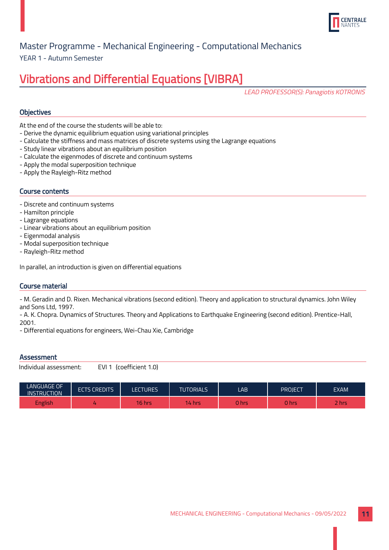

YEAR 1 - Autumn Semester

# Vibrations and Differential Equations [VIBRA]

LEAD PROFESSOR(S): Panagiotis KOTRONIS

#### **Objectives**

At the end of the course the students will be able to:

- Derive the dynamic equilibrium equation using variational principles
- Calculate the stiffness and mass matrices of discrete systems using the Lagrange equations
- Study linear vibrations about an equilibrium position
- Calculate the eigenmodes of discrete and continuum systems
- Apply the modal superposition technique
- Apply the Rayleigh-Ritz method

#### Course contents

- Discrete and continuum systems
- Hamilton principle
- Lagrange equations
- Linear vibrations about an equilibrium position
- Eigenmodal analysis
- Modal superposition technique
- Rayleigh-Ritz method

In parallel, an introduction is given on differential equations

#### Course material

- M. Geradin and D. Rixen. Mechanical vibrations (second edition). Theory and application to structural dynamics. John Wiley and Sons Ltd, 1997.

- A. K. Chopra. Dynamics of Structures. Theory and Applications to Earthquake Engineering (second edition). Prentice-Hall, 2001.

- Differential equations for engineers, Wei-Chau Xie, Cambridge

#### **Assessment**

| <b>LANGUAGE OF</b><br><b>INSTRUCTION</b> | <b>ECTS CREDITS</b> | <b>LECTURES</b> | <b>TUTORIALS</b> | LAB   | PROJECT | <b>EXAM</b> |
|------------------------------------------|---------------------|-----------------|------------------|-------|---------|-------------|
| English                                  |                     | $16$ hrs        | 14 hrs           | 0 hrs | hrs     | <b>hrs</b>  |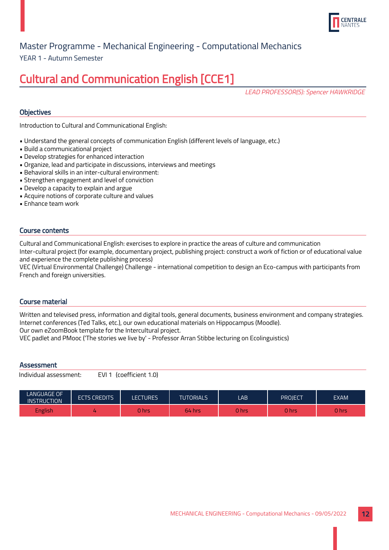

YEAR 1 - Autumn Semester

# Cultural and Communication English [CCE1]

LEAD PROFESSOR(S): Spencer HAWKRIDGE

#### **Objectives**

Introduction to Cultural and Communicational English:

- Understand the general concepts of communication English (different levels of language, etc.)
- Build a communicational project
- Develop strategies for enhanced interaction
- Organize, lead and participate in discussions, interviews and meetings
- Behavioral skills in an inter-cultural environment:
- Strengthen engagement and level of conviction
- Develop a capacity to explain and argue
- Acquire notions of corporate culture and values
- Enhance team work

#### Course contents

Cultural and Communicational English: exercises to explore in practice the areas of culture and communication Inter-cultural project (for example, documentary project, publishing project: construct a work of fiction or of educational value and experience the complete publishing process)

VEC (Virtual Environmental Challenge) Challenge - international competition to design an Eco-campus with participants from French and foreign universities.

#### Course material

Written and televised press, information and digital tools, general documents, business environment and company strategies. Internet conferences (Ted Talks, etc.), our own educational materials on Hippocampus (Moodle). Our own eZoomBook template for the Intercultural project.

VEC padlet and PMooc ('The stories we live by' - Professor Arran Stibbe lecturing on Ecolinguistics)

#### **Assessment**

| LANGUAGE OF<br><b>INSTRUCTION</b> | <b>ECTS CREDITS</b> | <b>LECTURES</b> | <b>TUTORIALS</b> | LAB         | PROJECT | <b>EXAM</b> |
|-----------------------------------|---------------------|-----------------|------------------|-------------|---------|-------------|
| English                           |                     | 0 hrsi          | 64 hrs           | <b>Thrs</b> | 0 hrs   | 0 hrs       |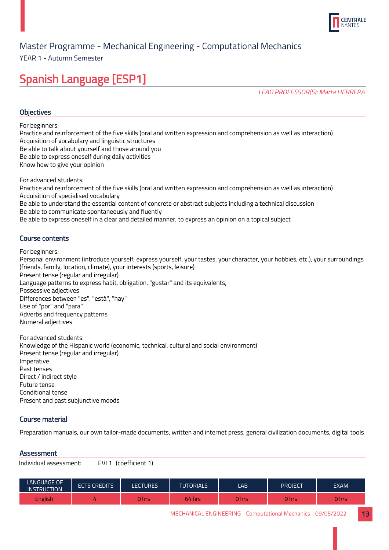

YEAR 1 - Autumn Semester

# Spanish Language [ESP1]

LEAD PROFESSOR(S): Marta HERRERA

#### **Objectives**

For beginners:

Practice and reinforcement of the five skills (oral and written expression and comprehension as well as interaction) Acquisition of vocabulary and linguistic structures

Be able to talk about yourself and those around you

Be able to express oneself during daily activities

Know how to give your opinion

For advanced students:

Practice and reinforcement of the five skills (oral and written expression and comprehension as well as interaction) Acquisition of specialised vocabulary Be able to understand the essential content of concrete or abstract subjects including a technical discussion Be able to communicate spontaneously and fluently

Be able to express oneself in a clear and detailed manner, to express an opinion on a topical subject

#### Course contents

For beginners:

Personal environment (introduce yourself, express yourself, your tastes, your character, your hobbies, etc.), your surroundings (friends, family, location, climate), your interests (sports, leisure) Present tense (regular and irregular) Language patterns to express habit, obligation, "gustar" and its equivalents, Possessive adjectives Differences between "es", "está", "hay" Use of "por" and "para" Adverbs and frequency patterns Numeral adjectives

For advanced students: Knowledge of the Hispanic world (economic, technical, cultural and social environment) Present tense (regular and irregular) Imperative Past tenses Direct / indirect style Future tense Conditional tense Present and past subjunctive moods

#### Course material

Preparation manuals, our own tailor-made documents, written and internet press, general civilization documents, digital tools

#### **Assessment**

| <b>LANGUAGE OF</b><br><b>INSTRUCTION</b> | <b>ECTS CREDITS</b> | <b>ECTURES</b> | <b>TUTORIALS</b> | LAB   | <b>PROJECT</b>   | <b>EXAM</b> |
|------------------------------------------|---------------------|----------------|------------------|-------|------------------|-------------|
| <b>English</b>                           |                     | 0 hrs          | 64 hrs           | 0 hrs | 0 <sub>hrs</sub> | 0 hrs       |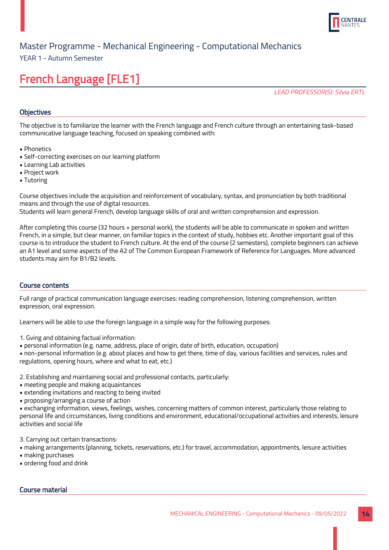

YEAR 1 - Autumn Semester

# French Language [FLE1]

LEAD PROFESSOR(S): Silvia ERTL

#### **Objectives**

The objective is to familiarize the learner with the French language and French culture through an entertaining task-based communicative language teaching, focused on speaking combined with:

- Phonetics
- Self-correcting exercises on our learning platform
- Learning Lab activities
- Project work
- Tutoring

Course objectives include the acquisition and reinforcement of vocabulary, syntax, and pronunciation by both traditional means and through the use of digital resources.

Students will learn general French, develop language skills of oral and written comprehension and expression.

After completing this course (32 hours + personal work), the students will be able to communicate in spoken and written French, in a simple, but clear manner, on familiar topics in the context of study, hobbies etc. Another important goal of this course is to introduce the student to French culture. At the end of the course (2 semesters), complete beginners can achieve an A1 level and some aspects of the A2 of The Common European Framework of Reference for Languages. More advanced students may aim for B1/B2 levels.

#### Course contents

Full range of practical communication language exercises: reading comprehension, listening comprehension, written expression, oral expression.

Learners will be able to use the foreign language in a simple way for the following purposes:

- 1. Gving and obtaining factual information:
- personal information (e.g. name, address, place of origin, date of birth, education, occupation)

• non-personal information (e.g. about places and how to get there, time of day, various facilities and services, rules and regulations, opening hours, where and what to eat, etc.)

2. Establishing and maintaining social and professional contacts, particularly:

- meeting people and making acquaintances
- extending invitations and reacting to being invited
- proposing/arranging a course of action

• exchanging information, views, feelings, wishes, concerning matters of common interest, particularly those relating to personal life and circumstances, living conditions and environment, educational/occupational activities and interests, leisure activities and social life

3. Carrying out certain transactions:

- making arrangements (planning, tickets, reservations, etc.) for travel, accommodation, appointments, leisure activities
- making purchases
- ordering food and drink

#### Course material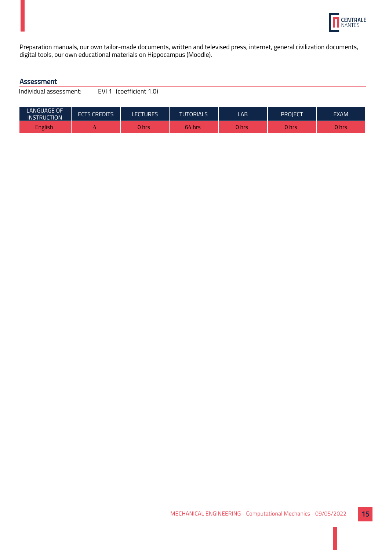

Preparation manuals, our own tailor-made documents, written and televised press, internet, general civilization documents, digital tools, our own educational materials on Hippocampus (Moodle).

#### Assessment

| LANGUAGE OF<br><b>INSTRUCTION</b> | <b>ECTS CREDITS</b> | <b>LECTURES</b> | <b>TUTORIALS</b> | LAB   | PROIECT | <b>EXAM</b> |
|-----------------------------------|---------------------|-----------------|------------------|-------|---------|-------------|
| English                           |                     | 0 hrs           | 64 hrs           | 0 hrs | 0 hrs   | 0 hrs       |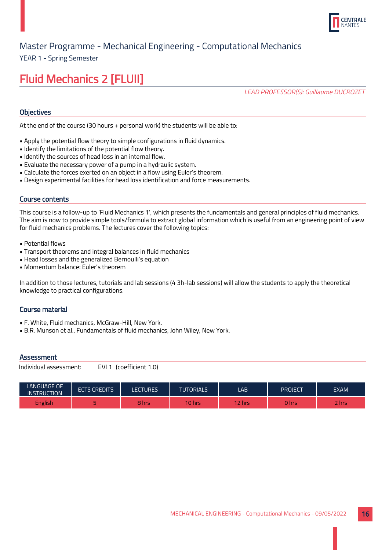

YEAR 1 - Spring Semester

# Fluid Mechanics 2 [FLUII]

LEAD PROFESSOR(S): Guillaume DUCROZET

#### **Objectives**

At the end of the course (30 hours + personal work) the students will be able to:

- Apply the potential flow theory to simple configurations in fluid dynamics.
- Identify the limitations of the potential flow theory.
- Identify the sources of head loss in an internal flow.
- Evaluate the necessary power of a pump in a hydraulic system.
- Calculate the forces exerted on an object in a flow using Euler's theorem.
- Design experimental facilities for head loss identification and force measurements.

#### Course contents

This course is a follow-up to 'Fluid Mechanics 1', which presents the fundamentals and general principles of fluid mechanics. The aim is now to provide simple tools/formula to extract global information which is useful from an engineering point of view for fluid mechanics problems. The lectures cover the following topics:

- Potential flows
- Transport theorems and integral balances in fluid mechanics
- Head losses and the generalized Bernoulli's equation
- Momentum balance: Euler's theorem

In addition to those lectures, tutorials and lab sessions (4 3h-lab sessions) will allow the students to apply the theoretical knowledge to practical configurations.

#### Course material

- F. White, Fluid mechanics, McGraw-Hill, New York.
- B.R. Munson et al., Fundamentals of fluid mechanics, John Wiley, New York.

#### **Assessment**

| <b>LANGUAGE OF</b><br><b>INSTRUCTION</b> | <b>ECTS CREDITS</b> | <b>LECTURES</b> | <b>TUTORIALS</b> | LAB    | PROJECT | <b>EXAM</b> |
|------------------------------------------|---------------------|-----------------|------------------|--------|---------|-------------|
| <b>English</b>                           |                     | 3 hrs           | $10$ hrs         | 12 hrs | U hrs   | <b>Rhrs</b> |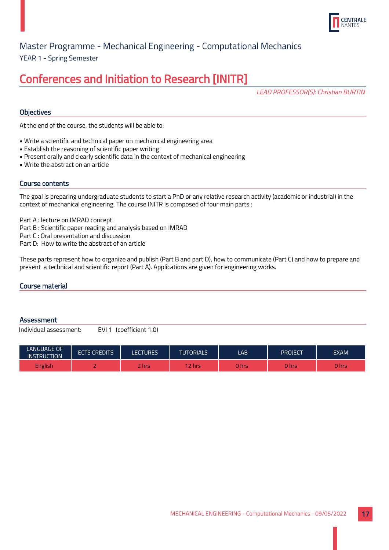

YEAR 1 - Spring Semester Master Programme - Mechanical Engineering - Computational Mechanics

### Conferences and Initiation to Research [INITR]

LEAD PROFESSOR(S): Christian BURTIN

#### **Objectives**

At the end of the course, the students will be able to:

- Write a scientific and technical paper on mechanical engineering area
- Establish the reasoning of scientific paper writing
- Present orally and clearly scientific data in the context of mechanical engineering
- Write the abstract on an article

#### Course contents

The goal is preparing undergraduate students to start a PhD or any relative research activity (academic or industrial) in the context of mechanical engineering. The course INITR is composed of four main parts :

Part A : lecture on IMRAD concept

Part B : Scientific paper reading and analysis based on IMRAD

Part C : Oral presentation and discussion

Part D: How to write the abstract of an article

These parts represent how to organize and publish (Part B and part D), how to communicate (Part C) and how to prepare and present a technical and scientific report (Part A). Applications are given for engineering works.

#### Course material

#### **Assessment**

| <b>LANGUAGE OF</b><br><b>INSTRUCTION</b> | <b>ECTS CREDITS</b> | LECTURES     | <b>TUTORIALS</b> | LAB          | PROIECT      | <b>EXAM</b> |
|------------------------------------------|---------------------|--------------|------------------|--------------|--------------|-------------|
| <b>English</b>                           | $\sim$              | <b>Thrs.</b> | 2 hrs            | <b>O</b> hrs | <b>O</b> hrs | 0 hrs       |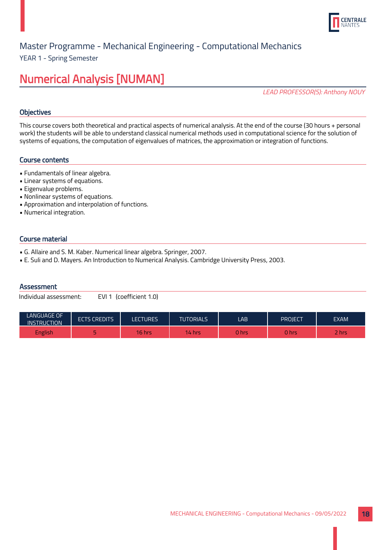

YEAR 1 - Spring Semester

### Numerical Analysis [NUMAN]

LEAD PROFESSOR(S): Anthony NOUY

#### **Objectives**

This course covers both theoretical and practical aspects of numerical analysis. At the end of the course (30 hours + personal work) the students will be able to understand classical numerical methods used in computational science for the solution of systems of equations, the computation of eigenvalues of matrices, the approximation or integration of functions.

#### Course contents

- Fundamentals of linear algebra.
- Linear systems of equations.
- Eigenvalue problems.
- Nonlinear systems of equations.
- Approximation and interpolation of functions.
- Numerical integration.

#### Course material

- G. Allaire and S. M. Kaber. Numerical linear algebra. Springer, 2007.
- E. Suli and D. Mayers. An Introduction to Numerical Analysis. Cambridge University Press, 2003.

#### **Assessment**

| <b>LANGUAGE OF</b><br><b>INSTRUCTION</b> | <b>ECTS CREDITS</b> | LECTURES       | <b>TUTORIALS</b> | LAB         | PROJECT | EXAM  |
|------------------------------------------|---------------------|----------------|------------------|-------------|---------|-------|
| English                                  |                     | <b>16 hrs.</b> | 14 hrs           | <b>Ohrs</b> | 0 hrs   | : hrs |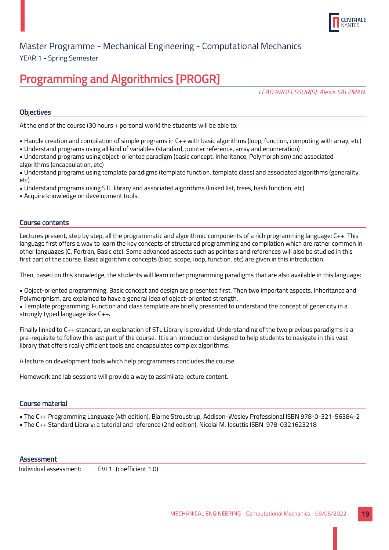

YEAR 1 - Spring Semester

# Programming and Algorithmics [PROGR]

LEAD PROFESSOR(S): Alexis SALZMAN

#### **Objectives**

At the end of the course (30 hours + personal work) the students will be able to:

- Handle creation and compilation of simple programs in C++ with basic algorithms (loop, function, computing with array, etc)
- Understand programs using all kind of variables (standard, pointer reference, array and enumeration)
- Understand programs using object-oriented paradigm (basic concept, Inheritance, Polymorphism) and associated algorithms (encapsulation, etc)
- Understand programs using template paradigms (template function, template class) and associated algorithms (generality, etc)
- Understand programs using STL library and associated algorithms (linked list, trees, hash function, etc)
- Acquire knowledge on development tools.

#### Course contents

Lectures present, step by step, all the programmatic and algorithmic components of a rich programming language: C++. This language first offers a way to learn the key concepts of structured programming and compilation which are rather common in other languages (C, Fortran, Basic etc). Some advanced aspects such as pointers and references will also be studied in this first part of the course. Basic algorithmic concepts (bloc, scope, loop, function, etc) are given in this introduction.

Then, based on this knowledge, the students will learn other programming paradigms that are also available in this language:

• Object-oriented programming. Basic concept and design are presented first. Then two important aspects, Inheritance and Polymorphism, are explained to have a general idea of object-oriented strength.

• Template programming. Function and class template are briefly presented to understand the concept of genericity in a strongly typed language like C++.

Finally linked to C++ standard, an explanation of STL Library is provided. Understanding of the two previous paradigms is a pre-requisite to follow this last part of the course. It is an introduction designed to help students to navigate in this vast library that offers really efficient tools and encapsulates complex algorithms.

A lecture on development tools which help programmers concludes the course.

Homework and lab sessions will provide a way to assimilate lecture content.

#### Course material

- The C++ Programming Language (4th edition), Bjarne Stroustrup, Addison-Wesley Professional ISBN 978-0-321-56384-2
- The C++ Standard Library: a tutorial and reference (2nd edition), Nicolai M. Josuttis ISBN 978-0321623218

#### **Assessment**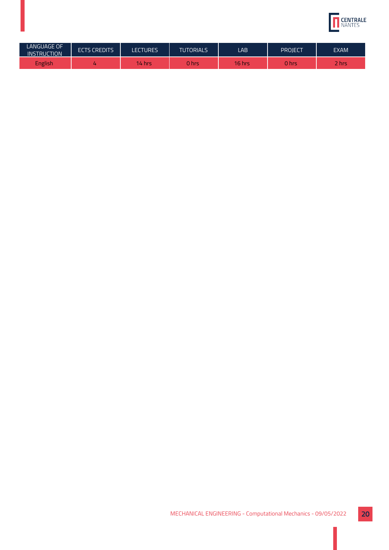

| <b>LANGUAGE OF</b><br><b>INSTRUCTION</b> | <b>ECTS CREDITS</b> | <b>LECTURES</b> | <b>TUTORIALS</b> | LAB    | PROJECT | <b>EXAM</b> |
|------------------------------------------|---------------------|-----------------|------------------|--------|---------|-------------|
| <b>English</b>                           |                     | 14 hrs          | <b>O</b> hrs     | 16 hrs | 0 hrs   | 2 hrs       |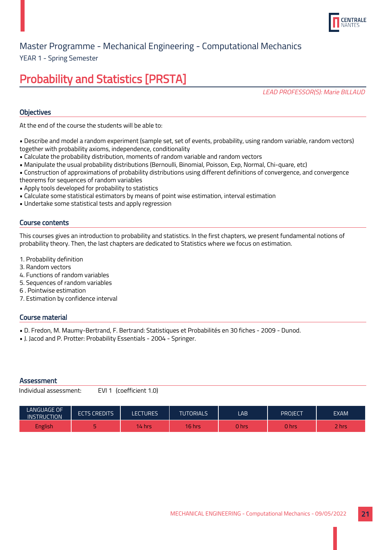

YEAR 1 - Spring Semester

# Probability and Statistics [PRSTA]

LEAD PROFESSOR(S): Marie BILLAUD

#### **Objectives**

At the end of the course the students will be able to:

- Describe and model a random experiment (sample set, set of events, probability, using random variable, random vectors) together with probability axioms, independence, conditionality
- Calculate the probability distribution, moments of random variable and random vectors
- Manipulate the usual probability distributions (Bernoulli, Binomial, Poisson, Exp, Normal, Chi-quare, etc)
- Construction of approximations of probability distributions using different definitions of convergence, and convergence
- theorems for sequences of random variables
- Apply tools developed for probability to statistics
- Calculate some statistical estimators by means of point wise estimation, interval estimation
- Undertake some statistical tests and apply regression

#### Course contents

This courses gives an introduction to probability and statistics. In the first chapters, we present fundamental notions of probability theory. Then, the last chapters are dedicated to Statistics where we focus on estimation.

- 1. Probability definition
- 3. Random vectors
- 4. Functions of random variables
- 5. Sequences of random variables
- 6 . Pointwise estimation
- 7. Estimation by confidence interval

#### Course material

- D. Fredon, M. Maumy-Bertrand, F. Bertrand: Statistiques et Probabilités en 30 fiches 2009 Dunod.
- J. Jacod and P. Protter: Probability Essentials 2004 Springer.

#### **Assessment**

| LANGUAGE OF.<br><b>INSTRUCTION</b> | <b>ECTS CREDITS</b> | LECTURES | <b>TUTORIALS</b> | LAB         | PROIECT | <b>EXAM</b>   |
|------------------------------------|---------------------|----------|------------------|-------------|---------|---------------|
| <b>English</b>                     |                     | 14 hrs   | 16 hrs           | <b>Thrs</b> | 0 hrs   | $\sim$<br>hrs |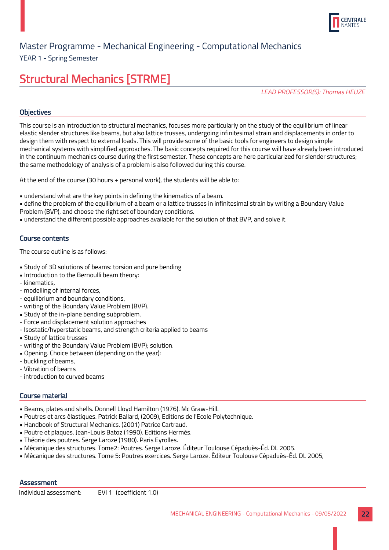

YEAR 1 - Spring Semester

# Structural Mechanics [STRME]

LEAD PROFESSOR(S): Thomas HEUZE

#### **Objectives**

This course is an introduction to structural mechanics, focuses more particularly on the study of the equilibrium of linear elastic slender structures like beams, but also lattice trusses, undergoing infinitesimal strain and displacements in order to design them with respect to external loads. This will provide some of the basic tools for engineers to design simple mechanical systems with simplified approaches. The basic concepts required for this course will have already been introduced in the continuum mechanics course during the first semester. These concepts are here particularized for slender structures; the same methodology of analysis of a problem is also followed during this course.

At the end of the course (30 hours + personal work), the students will be able to:

• understand what are the key points in defining the kinematics of a beam.

• define the problem of the equilibrium of a beam or a lattice trusses in infinitesimal strain by writing a Boundary Value Problem (BVP), and choose the right set of boundary conditions.

• understand the different possible approaches available for the solution of that BVP, and solve it.

#### Course contents

The course outline is as follows:

- Study of 3D solutions of beams: torsion and pure bending
- Introduction to the Bernoulli beam theory:
- kinematics,
- modelling of internal forces,
- equilibrium and boundary conditions,
- writing of the Boundary Value Problem (BVP).
- Study of the in-plane bending subproblem.
- Force and displacement solution approaches
- Isostatic/hyperstatic beams, and strength criteria applied to beams
- Study of lattice trusses
- writing of the Boundary Value Problem (BVP); solution.
- Opening. Choice between (depending on the year):
- buckling of beams,
- Vibration of beams
- introduction to curved beams

#### Course material

- Beams, plates and shells. Donnell Lloyd Hamilton (1976). Mc Graw-Hill.
- Poutres et arcs élastiques. Patrick Ballard, (2009), Editions de l'Ecole Polytechnique.
- Handbook of Structural Mechanics. (2001) Patrice Cartraud.
- Poutre et plaques. Jean-Louis Batoz (1990). Editions Hermès.
- Théorie des poutres. Serge Laroze (1980). Paris Eyrolles.
- Mécanique des structures. Tome2: Poutres. Serge Laroze. Éditeur Toulouse Cépaduès-Éd. DL 2005.
- Mécanique des structures. Tome 5: Poutres exercices. Serge Laroze. Éditeur Toulouse Cépaduès-Éd. DL 2005,

#### **Assessment**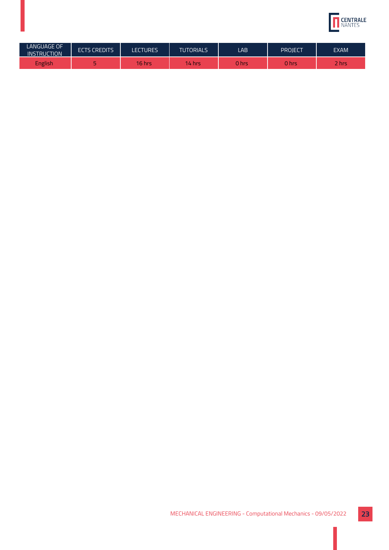

| <b>LANGUAGE OF</b><br><b>INSTRUCTION</b> | <b>ECTS CREDITS</b> | <b>LECTURES</b> | <b>TUTORIALS</b> | LAB   | PROJECT | <b>EXAM</b> |
|------------------------------------------|---------------------|-----------------|------------------|-------|---------|-------------|
| <b>English</b>                           |                     | 16 hrs          | 14.<br>hrs       | າ hrs | 0 hrs   | 2 hrs       |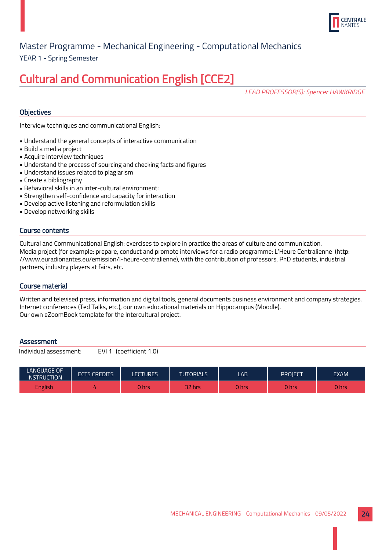

YEAR 1 - Spring Semester

# Cultural and Communication English [CCE2]

LEAD PROFESSOR(S): Spencer HAWKRIDGE

#### **Objectives**

Interview techniques and communicational English:

- Understand the general concepts of interactive communication
- Build a media project
- Acquire interview techniques
- Understand the process of sourcing and checking facts and figures
- Understand issues related to plagiarism
- Create a bibliography
- Behavioral skills in an inter-cultural environment:
- Strengthen self-confidence and capacity for interaction
- Develop active listening and reformulation skills

Individual assessment: EVI 1 (coefficient 1.0)

• Develop networking skills

#### Course contents

Cultural and Communicational English: exercises to explore in practice the areas of culture and communication. Media project (for example: prepare, conduct and promote interviews for a radio programme: L'Heure Centralienne (http: //www.euradionantes.eu/emission/l-heure-centralienne), with the contribution of professors, PhD students, industrial partners, industry players at fairs, etc.

#### Course material

Written and televised press, information and digital tools, general documents business environment and company strategies. Internet conferences (Ted Talks, etc.), our own educational materials on Hippocampus (Moodle). Our own eZoomBook template for the Intercultural project.

#### **Assessment**

| LANGUAGE OF<br><b>INSTRUCTION</b> | <b>ECTS CREDITS</b> | <b>LECTURES</b> | TUTORIALS <sup>1</sup> | LAB    | PROJECT | <b>EXAM</b> |
|-----------------------------------|---------------------|-----------------|------------------------|--------|---------|-------------|
| English                           | 4                   | 0 hrs           | 32 hrs                 | 0 hrs' | 0 hrs   | 0 hrs       |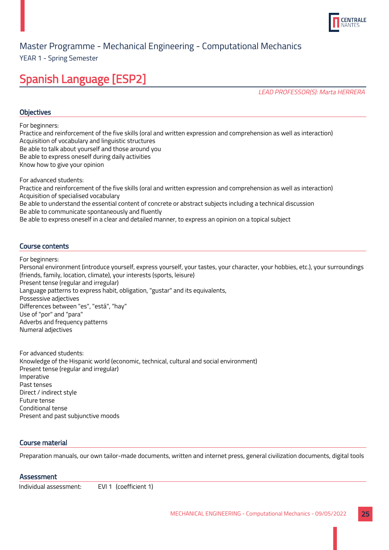

YEAR 1 - Spring Semester

# Spanish Language [ESP2]

LEAD PROFESSOR(S): Marta HERRERA

#### **Objectives**

For beginners:

Practice and reinforcement of the five skills (oral and written expression and comprehension as well as interaction) Acquisition of vocabulary and linguistic structures

Be able to talk about yourself and those around you

Be able to express oneself during daily activities

Know how to give your opinion

For advanced students:

Practice and reinforcement of the five skills (oral and written expression and comprehension as well as interaction) Acquisition of specialised vocabulary Be able to understand the essential content of concrete or abstract subjects including a technical discussion Be able to communicate spontaneously and fluently

Be able to express oneself in a clear and detailed manner, to express an opinion on a topical subject

#### Course contents

For beginners:

Personal environment (introduce yourself, express yourself, your tastes, your character, your hobbies, etc.), your surroundings (friends, family, location, climate), your interests (sports, leisure) Present tense (regular and irregular) Language patterns to express habit, obligation, "gustar" and its equivalents, Possessive adjectives Differences between "es", "está", "hay" Use of "por" and "para" Adverbs and frequency patterns Numeral adjectives

For advanced students: Knowledge of the Hispanic world (economic, technical, cultural and social environment) Present tense (regular and irregular) Imperative Past tenses Direct / indirect style Future tense Conditional tense Present and past subjunctive moods

#### Course material

Preparation manuals, our own tailor-made documents, written and internet press, general civilization documents, digital tools

#### **Assessment**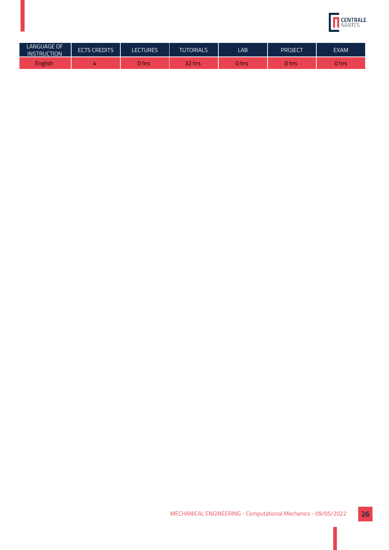

| <b>LANGUAGE OF</b><br><b>INSTRUCTION</b> | <b>ECTS CREDITS</b> | <b>LECTURES</b> | <b>TUTORIALS</b> | LAB   | PROJECT | <b>EXAM</b>  |
|------------------------------------------|---------------------|-----------------|------------------|-------|---------|--------------|
| <b>English</b>                           |                     | ) hrs           | 32.<br>hrs       | າ hrs | 0 hrs   | <b>O</b> hrs |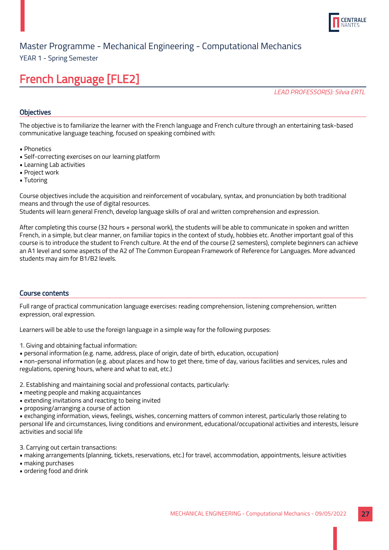

YEAR 1 - Spring Semester

# French Language [FLE2]

LEAD PROFESSOR(S): Silvia ERTL

#### **Objectives**

The objective is to familiarize the learner with the French language and French culture through an entertaining task-based communicative language teaching, focused on speaking combined with:

- Phonetics
- Self-correcting exercises on our learning platform
- Learning Lab activities
- Project work
- Tutoring

Course objectives include the acquisition and reinforcement of vocabulary, syntax, and pronunciation by both traditional means and through the use of digital resources.

Students will learn general French, develop language skills of oral and written comprehension and expression.

After completing this course (32 hours + personal work), the students will be able to communicate in spoken and written French, in a simple, but clear manner, on familiar topics in the context of study, hobbies etc. Another important goal of this course is to introduce the student to French culture. At the end of the course (2 semesters), complete beginners can achieve an A1 level and some aspects of the A2 of The Common European Framework of Reference for Languages. More advanced students may aim for B1/B2 levels.

#### Course contents

Full range of practical communication language exercises: reading comprehension, listening comprehension, written expression, oral expression.

Learners will be able to use the foreign language in a simple way for the following purposes:

- 1. Giving and obtaining factual information:
- personal information (e.g. name, address, place of origin, date of birth, education, occupation)

• non-personal information (e.g. about places and how to get there, time of day, various facilities and services, rules and regulations, opening hours, where and what to eat, etc.)

- 2. Establishing and maintaining social and professional contacts, particularly:
- meeting people and making acquaintances
- extending invitations and reacting to being invited
- proposing/arranging a course of action

• exchanging information, views, feelings, wishes, concerning matters of common interest, particularly those relating to personal life and circumstances, living conditions and environment, educational/occupational activities and interests, leisure activities and social life

3. Carrying out certain transactions:

- making arrangements (planning, tickets, reservations, etc.) for travel, accommodation, appointments, leisure activities
- making purchases
- ordering food and drink